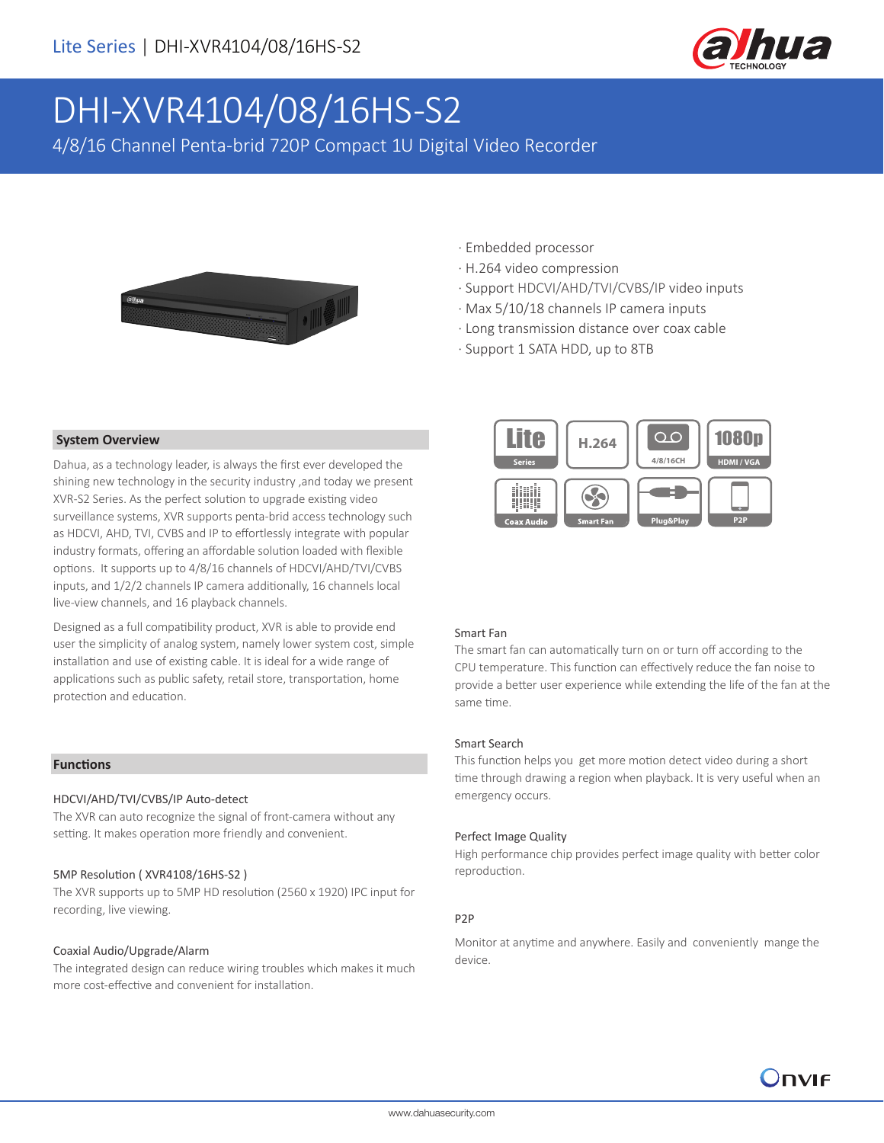

# DHI-XVR4104/08/16HS-S2

4/8/16 Channel Penta-brid 720P Compact 1U Digital Video Recorder



### · Embedded processor

- · H.264 video compression
- · Support HDCVI/AHD/TVI/CVBS/IP video inputs
- · Max 5/10/18 channels IP camera inputs
- · Long transmission distance over coax cable
- · Support 1 SATA HDD, up to 8TB



#### Smart Fan

The smart fan can automatically turn on or turn off according to the CPU temperature. This function can effectively reduce the fan noise to provide a better user experience while extending the life of the fan at the same time.

#### Smart Search

This function helps you get more motion detect video during a short time through drawing a region when playback. It is very useful when an emergency occurs.

#### Perfect Image Quality

High performance chip provides perfect image quality with better color reproduction.

#### P2P

Monitor at anytime and anywhere. Easily and conveniently mange the device.

#### **System Overview**

Dahua, as a technology leader, is always the first ever developed the shining new technology in the security industry ,and today we present XVR-S2 Series. As the perfect solution to upgrade existing video surveillance systems, XVR supports penta-brid access technology such as HDCVI, AHD, TVI, CVBS and IP to effortlessly integrate with popular industry formats, offering an affordable solution loaded with flexible options. It supports up to 4/8/16 channels of HDCVI/AHD/TVI/CVBS inputs, and 1/2/2 channels IP camera additionally, 16 channels local live-view channels, and 16 playback channels.

Designed as a full compatibility product, XVR is able to provide end user the simplicity of analog system, namely lower system cost, simple installation and use of existing cable. It is ideal for a wide range of applications such as public safety, retail store, transportation, home protection and education.

#### **Functions**

#### HDCVI/AHD/TVI/CVBS/IP Auto-detect

The XVR can auto recognize the signal of front-camera without any setting. It makes operation more friendly and convenient.

#### 5MP Resolution ( XVR4108/16HS-S2 )

The XVR supports up to 5MP HD resolution (2560 x 1920) IPC input for recording, live viewing.

#### Coaxial Audio/Upgrade/Alarm

The integrated design can reduce wiring troubles which makes it much more cost-effective and convenient for installation.

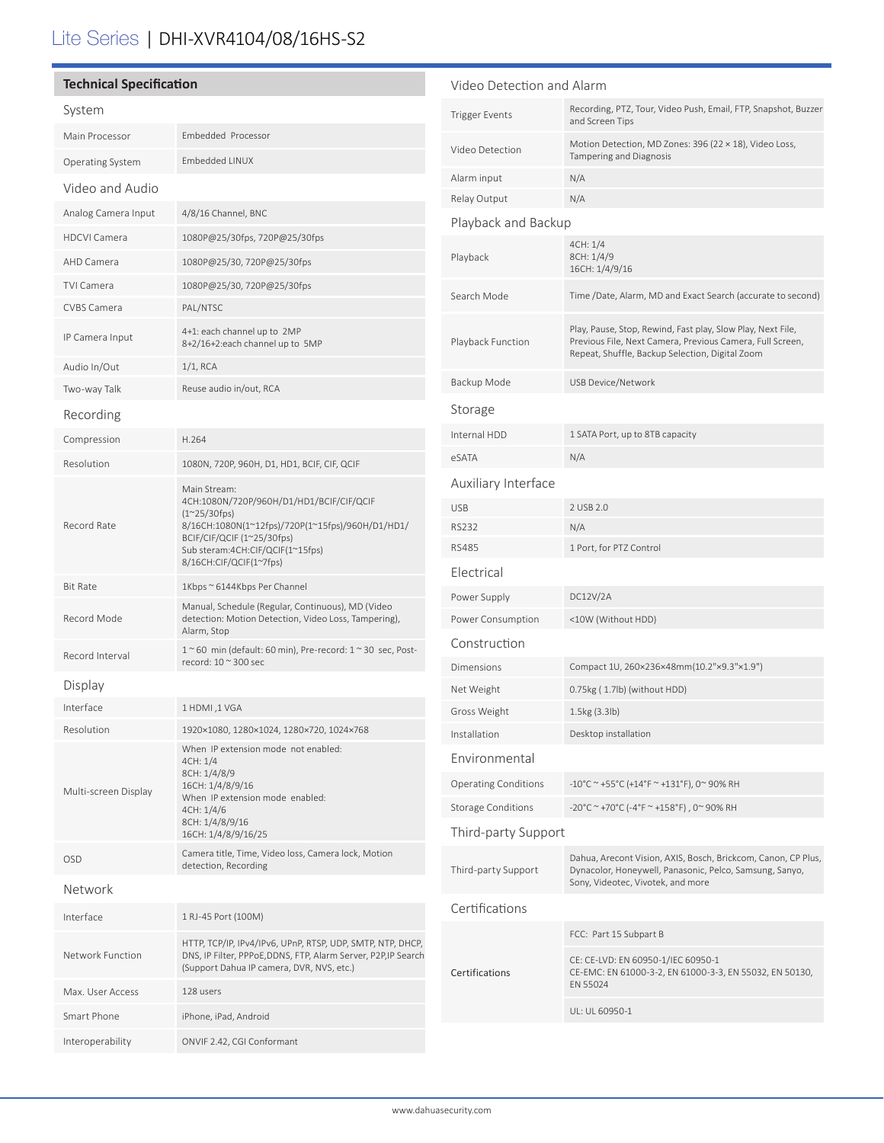# Lite Series | DHI-XVR4104/08/16HS-S2

#### **Technical Specification** System Main Processor Embedded Processor Operating System Embedded LINUX Video and Audio Analog Camera Input 4/8/16 Channel, BNC HDCVI Camera 1080P@25/30fps, 720P@25/30fps AHD Camera 1080P@25/30, 720P@25/30fps TVI Camera 1080P@25/30, 720P@25/30fps CVBS Camera PAL/NTSC IP Camera Input 4+1: each channel up to 2MP 8+2/16+2:each channel up to 5MP Audio In/Out 1/1, RCA Two-way Talk Reuse audio in/out, RCA Recording Compression H.264 Resolution 1080N, 720P, 960H, D1, HD1, BCIF, CIF, QCIF Record Rate Main Stream: 4CH:1080N/720P/960H/D1/HD1/BCIF/CIF/QCIF (1~25/30fps) 8/16CH:1080N(1~12fps)/720P(1~15fps)/960H/D1/HD1/ BCIF/CIF/QCIF (1~25/30fps) Sub steram:4CH:CIF/QCIF(1~15fps) 8/16CH:CIF/QCIF(1~7fps) Bit Rate 1Kbps ~ 6144Kbps Per Channel Record Mode Manual, Schedule (Regular, Continuous), MD (Video detection: Motion Detection, Video Loss, Tampering), Alarm, Stop Record Interval 1 ~ 60 min (default: 60 min), Pre-record: 1 ~ 30 sec, Postrecord: 10 ~ 300 sec Display Interface 1 HDMI ,1 VGA Resolution 1920×1080, 1280×1024, 1280×720, 1024×768 Multi-screen Display When IP extension mode not enabled: 4CH: 1/4 8CH: 1/4/8/9 16CH: 1/4/8/9/16 When IP extension mode enabled:  $4CH: 1/4/6$ 8CH: 1/4/8/9/16 16CH: 1/4/8/9/16/25 OSD Camera title, Time, Video loss, Camera lock, Motion detection, Recording Network Interface 1 RJ-45 Port (100M) Network Function HTTP, TCP/IP, IPv4/IPv6, UPnP, RTSP, UDP, SMTP, NTP, DHCP, DNS, IP Filter, PPPoE,DDNS, FTP, Alarm Server, P2P,IP Search (Support Dahua IP camera, DVR, NVS, etc.) Max. User Access 128 users Smart Phone iPhone, iPad, Android Interoperability ONVIF 2.42, CGI Conformant Video Detection and Alarm Trigger Events Recording, PTZ, Tour, Video Push, Email, FTP, Snapshot, Buzzer and Screen Tips Video Detection Motion Detection, MD Zones: 396 (22 × 18), Video Loss, Tampering and Diagnosis Alarm input N/A Relay Output N/A Playback and Backup Playback 4CH: 1/4 8CH: 1/4/9 16CH: 1/4/9/16 Search Mode Time /Date, Alarm, MD and Exact Search (accurate to second) Playback Function Play, Pause, Stop, Rewind, Fast play, Slow Play, Next File, Previous File, Next Camera, Previous Camera, Full Screen, Repeat, Shuffle, Backup Selection, Digital Zoom Backup Mode USB Device/Network Storage Internal HDD 1 SATA Port, up to 8TB capacity eSATA N/A Auxiliary Interface USB 2 USB 2.0 RS232 N/A RS485 1 Port, for PTZ Control Electrical Power Supply DC12V/2A Power Consumption <10W (Without HDD) Construction Dimensions Compact 1U, 260×236×48mm(10.2"×9.3"×1.9") Net Weight 0.75kg ( 1.7lb) (without HDD) Gross Weight 1.5kg (3.3lb) Installation Desktop installation Environmental Operating Conditions  $-10^{\circ}$ C ~ +55°C (+14°F ~ +131°F), 0~ 90% RH Storage Conditions  $-20^{\circ}C \sim +70^{\circ}C (-4^{\circ}F \sim +158^{\circ}F)$ , 0~90% RH Third-party Support Third-party Support Dahua, Arecont Vision, AXIS, Bosch, Brickcom, Canon, CP Plus, Dynacolor, Honeywell, Panasonic, Pelco, Samsung, Sanyo, Sony, Videotec, Vivotek, and more Certifications Certifications FCC: Part 15 Subpart B CE: CE-LVD: EN 60950-1/IEC 60950-1 CE-EMC: EN 61000-3-2, EN 61000-3-3, EN 55032, EN 50130, EN 55024 UL: UL 60950-1